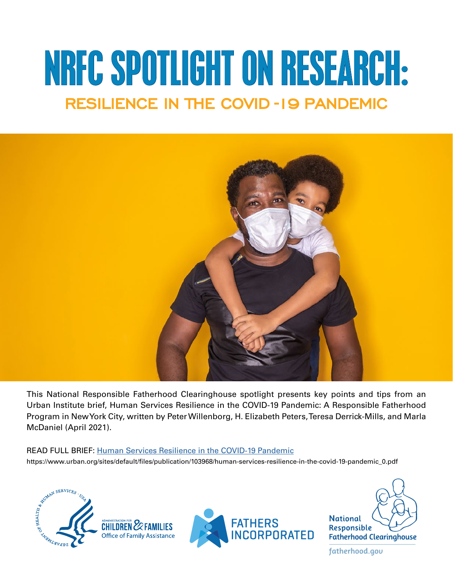# NRFC SPOTLIGHT ON RESEARCH: RESILIENCE IN THE COVID-19 PANDEMIC



This National Responsible Fatherhood Clearinghouse spotlight presents key points and tips from an Urban Institute brief, Human Services Resilience in the COVID-19 Pandemic: A Responsible Fatherhood Program in New York City, written by Peter Willenborg, H. Elizabeth Peters, Teresa Derrick-Mills, and Marla McDaniel (April 2021).

#### READ FULL BRIEF: [Human Services Resilience in the COVID-19 Pandemic](https://www.urban.org/sites/default/files/publication/103968/human-services-resilience-in-the-covid-19-pandemic_0.pdf)

https://www.urban.org/sites/default/fles/publication/103968/human-services-resilience-in-the-covid-19-pandemic\_0.pdf



fatherhood.gov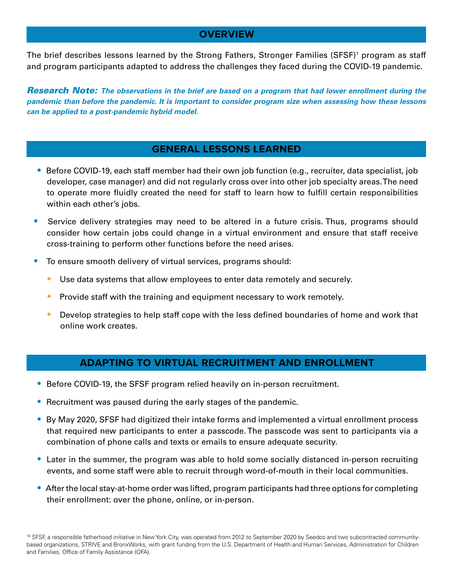### **OVERVIEW**

The brief describes lessons learned by the Strong Fathers, Stronger Families (SFSF)<sup>1</sup> program as staff and program participants adapted to address the challenges they faced during the COVID-19 pandemic.

*Research Note: The observations in the brief are based on a program that had lower enrollment during the pandemic than before the pandemic. It is important to consider program size when assessing how these lessons can be applied to a post-pandemic hybrid model.* 

## **GENERAL LESSONS LEARNED**

- **•** Before COVID-19, each staff member had their own job function (e.g., recruiter, data specialist, job developer, case manager) and did not regularly cross over into other job specialty areas. The need to operate more fuidly created the need for staff to learn how to fulfll certain responsibilities within each other's jobs.
- **•** Service delivery strategies may need to be altered in a future crisis. Thus, programs should consider how certain jobs could change in a virtual environment and ensure that staff receive cross-training to perform other functions before the need arises.
- **•** To ensure smooth delivery of virtual services, programs should:
	- **•** Use data systems that allow employees to enter data remotely and securely.
	- **•** Provide staff with the training and equipment necessary to work remotely.
	- **•** Develop strategies to help staff cope with the less defined boundaries of home and work that online work creates.

## **ADAPTING TO VIRTUAL RECRUITMENT AND ENROLLMENT**

- **•** Before COVID-19, the SFSF program relied heavily on in-person recruitment.
- **•** Recruitment was paused during the early stages of the pandemic.
- **•** By May 2020, SFSF had digitized their intake forms and implemented a virtual enrollment process that required new participants to enter a passcode. The passcode was sent to participants via a combination of phone calls and texts or emails to ensure adequate security.
- **•** Later in the summer, the program was able to hold some socially distanced in-person recruiting events, and some staff were able to recruit through word-of-mouth in their local communities.
- **•** After the local stay-at-home order was lifted, program participants had three options for completing their enrollment: over the phone, online, or in-person.

<sup>19</sup> SFSF, a responsible fatherhood initiative in New York City, was operated from 2012 to September 2020 by Seedco and two subcontracted communitybased organizations, STRIVE and BronxWorks, with grant funding from the U.S. Department of Health and Human Services, Administration for Children and Families, Office of Family Assistance (OFA).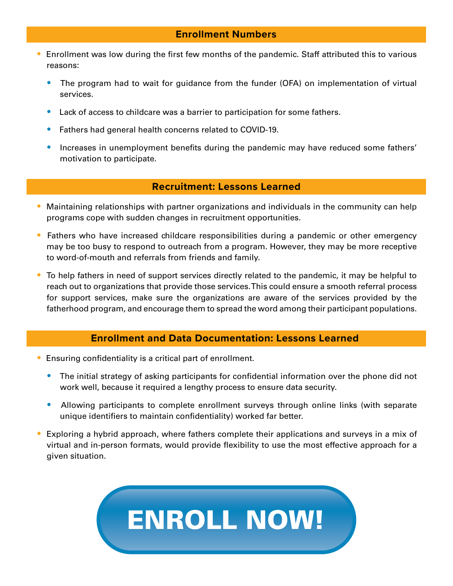#### **Enrollment Numbers**

- **•** Enrollment was low during the frst few months of the pandemic. Staff attributed this to various reasons:
	- **•** The program had to wait for guidance from the funder (OFA) on implementation of virtual services.
	- **•** Lack of access to childcare was a barrier to participation for some fathers.
	- **•** Fathers had general health concerns related to COVID-19.
	- **Increases in unemployment benefits during the pandemic may have reduced some fathers'** motivation to participate.

#### **Recruitment: Lessons Learned**

- **•** Maintaining relationships with partner organizations and individuals in the community can help programs cope with sudden changes in recruitment opportunities.
- **•** Fathers who have increased childcare responsibilities during a pandemic or other emergency may be too busy to respond to outreach from a program. However, they may be more receptive to word-of-mouth and referrals from friends and family.
- **•** To help fathers in need of support services directly related to the pandemic, it may be helpful to reach out to organizations that provide those services. This could ensure a smooth referral process for support services, make sure the organizations are aware of the services provided by the fatherhood program, and encourage them to spread the word among their participant populations.

## **Enrollment and Data Documentation: Lessons Learned**

- Ensuring confidentiality is a critical part of enrollment.
	- **•** The initial strategy of asking participants for confdential information over the phone did not work well, because it required a lengthy process to ensure data security.
	- **•** Allowing participants to complete enrollment surveys through online links (with separate unique identifers to maintain confdentiality) worked far better.
- **•** Exploring a hybrid approach, where fathers complete their applications and surveys in a mix of virtual and in-person formats, would provide fexibility to use the most effective approach for a given situation.